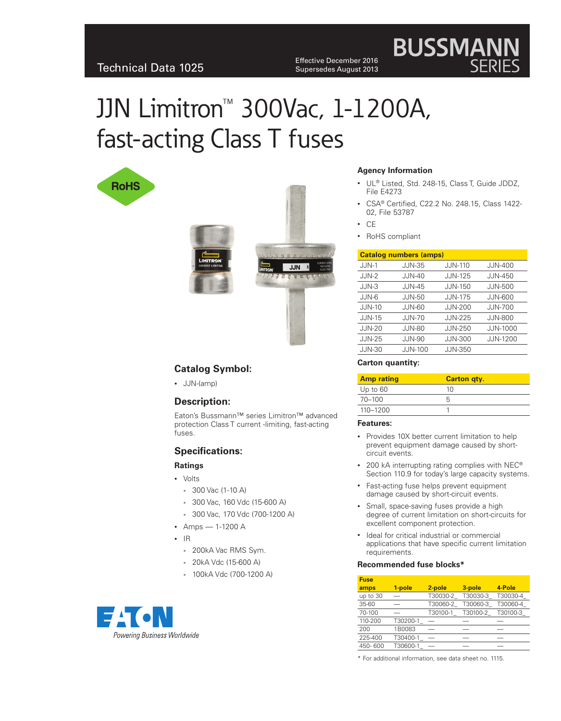Effective December 2016 Supersedes August 2013

# JJN Limitron™ 300Vac, 1-1200A, fast-acting Class T fuses







**Agency Information**

- CSA® Certified, C22.2 No. 248.15, Class 1422-02, File 53787
- • CE
- RoHS compliant

# **Catalog numbers (amps)**

|               | <u>oataiog mannocis (amps)</u> |                |                 |  |  |
|---------------|--------------------------------|----------------|-----------------|--|--|
| $JJN-1$       | <b>JJN-35</b>                  | <b>JJN-110</b> | <b>JJN-400</b>  |  |  |
| $JJN-2$       | <b>JJN-40</b>                  | <b>JJN-125</b> | <b>JJN-450</b>  |  |  |
| $JJN-3$       | $JJN-45$                       | $JJN-150$      | <b>JJN-500</b>  |  |  |
| JJN-6         | <b>JJN-50</b>                  | <b>JJN-175</b> | <b>JJN-600</b>  |  |  |
| <b>JJN-10</b> | <b>JJN-60</b>                  | <b>JJN-200</b> | <b>JJN-700</b>  |  |  |
| $JJN-15$      | <b>JJN-70</b>                  | <b>JJN-225</b> | <b>JJN-800</b>  |  |  |
| $JJN-20$      | JJN-80                         | <b>JJN-250</b> | <b>JJN-1000</b> |  |  |
| <b>JJN-25</b> | <b>JJN-90</b>                  | <b>JJN-300</b> | <b>JJN-1200</b> |  |  |
| <b>JJN-30</b> | <b>JJN-100</b>                 | <b>JJN-350</b> |                 |  |  |
|               |                                |                |                 |  |  |

#### **Carton quantity:**

| <b>Amp rating</b> | <b>Carton gty.</b> |
|-------------------|--------------------|
| Up to $60$        | 10                 |
| $70 - 100$        |                    |
| 110-1200          |                    |

#### **Features:**

- Provides 10X better current limitation to help prevent equipment damage caused by shortcircuit events.
- 200 kA interrupting rating complies with NEC® Section 110.9 for today's large capacity systems.
- • Fast-acting fuse helps prevent equipment damage caused by short-circuit events.
- Small, space-saving fuses provide a high degree of current limitation on short-circuits for excellent component protection.
- Ideal for critical industrial or commercial applications that have specific current limitation requirements.

#### **Recommended fuse blocks\***

| <b>Fuse</b> |          |          |          |          |  |
|-------------|----------|----------|----------|----------|--|
| amps        | 1-pole   | 2-pole   | 3-pole   | 4-Pole   |  |
| up to 30    |          | T30030-2 | T30030-3 | T30030-4 |  |
| 35-60       |          | T30060-2 | T30060-3 | T30060-4 |  |
| 70-100      |          | T30100-1 | T30100-2 | T30100-3 |  |
| 110-200     | T30200-1 |          |          |          |  |
| 200         | 1B0083   |          |          |          |  |
| 225-400     | T30400-1 |          |          |          |  |
| 450-600     | T30600-1 |          |          |          |  |

\* For additional information, see data sheet no. 1115.

# **Catalog Symbol:**

• JJN-(amp)

## **Description:**

Eaton's Bussmann™ series Limitron™ advanced protection Class T current -limiting, fast-acting fuses.

# **Specifications:**

#### **Ratings**

- • Volts
	- • 300 Vac (1-10 A)
	- • 300 Vac, 160 Vdc (15-600 A)
	- • 300 Vac, 170 Vdc (700-1200 A)
- Amps  $-1-1200$  A
- • IR
	- • 200kA Vac RMS Sym.
	- • 20kA Vdc (15-600 A)
	- • 100kA Vdc (700-1200 A)



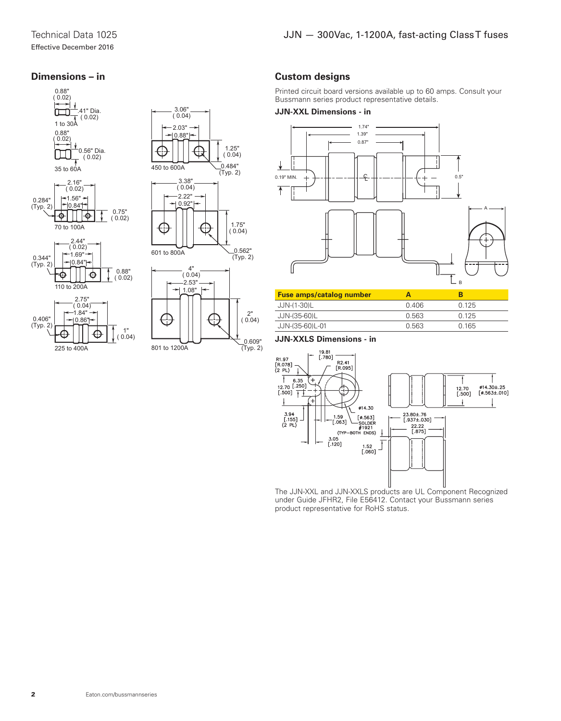## **Dimensions – in**





801 to 1200A

# **Custom designs**

Printed circuit board versions available up to 60 amps. Consult your Bussmann series product representative details.

#### **JJN-XXL Dimensions - in**



| <b>Fuse amps/catalog number</b> |       |       |  |
|---------------------------------|-------|-------|--|
| JJN-(1-30)L                     | 0.406 | O 125 |  |
| JJN-(35-60)L                    | 0.563 | 0.125 |  |
| JJN-(35-60)L-01                 | 0.563 | 0 165 |  |

#### **JJN-XXLS Dimensions - in**

 $(Typ. 2)$ 



The JJN-XXL and JJN-XXLS products are UL Component Recognized under Guide JFHR2, File E56412. Contact your Bussmann series product representative for RoHS status.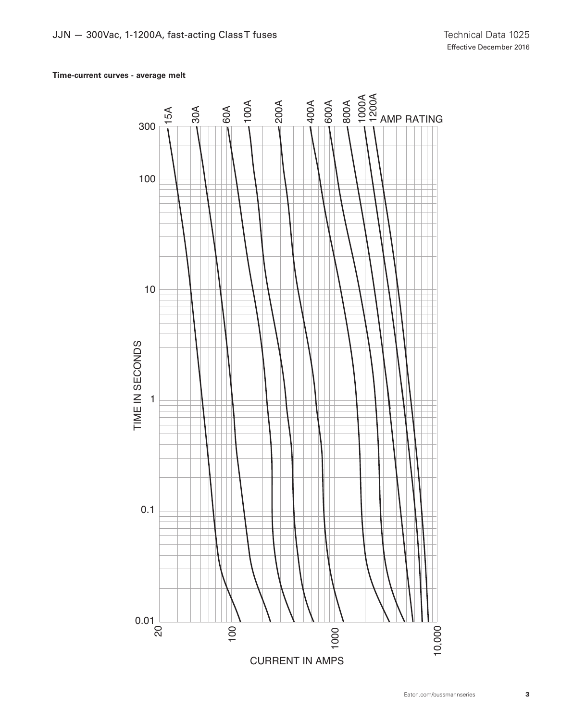## **Time-current curves - average melt**